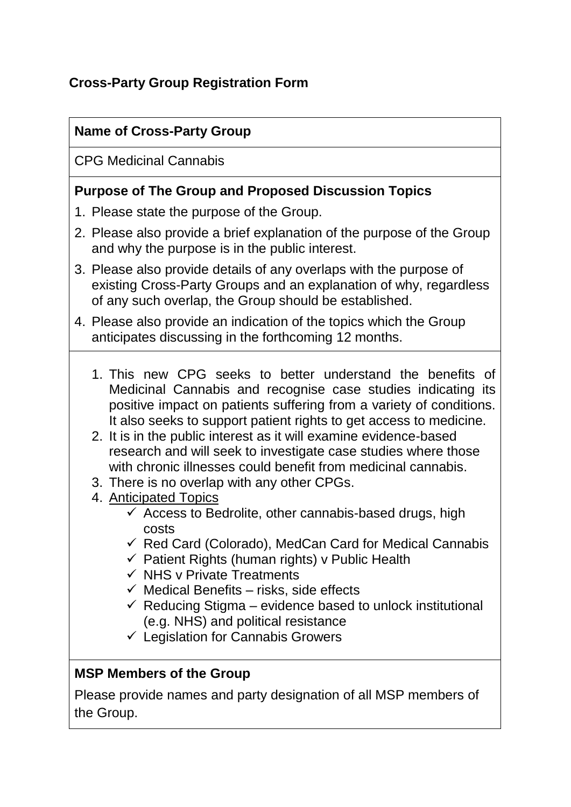# **Cross-Party Group Registration Form**

### **Name of Cross-Party Group**

CPG Medicinal Cannabis

#### **Purpose of The Group and Proposed Discussion Topics**

- 1. Please state the purpose of the Group.
- 2. Please also provide a brief explanation of the purpose of the Group and why the purpose is in the public interest.
- 3. Please also provide details of any overlaps with the purpose of existing Cross-Party Groups and an explanation of why, regardless of any such overlap, the Group should be established.
- 4. Please also provide an indication of the topics which the Group anticipates discussing in the forthcoming 12 months.
	- 1. This new CPG seeks to better understand the benefits of Medicinal Cannabis and recognise case studies indicating its positive impact on patients suffering from a variety of conditions. It also seeks to support patient rights to get access to medicine.
	- 2. It is in the public interest as it will examine evidence-based research and will seek to investigate case studies where those with chronic illnesses could benefit from medicinal cannabis.
	- 3. There is no overlap with any other CPGs.
	- 4. Anticipated Topics
		- $\checkmark$  Access to Bedrolite, other cannabis-based drugs, high costs
		- $\checkmark$  Red Card (Colorado), MedCan Card for Medical Cannabis
		- $\checkmark$  Patient Rights (human rights) v Public Health
		- $\checkmark$  NHS v Private Treatments
		- $\checkmark$  Medical Benefits risks, side effects
		- $\checkmark$  Reducing Stigma evidence based to unlock institutional (e.g. NHS) and political resistance
		- $\checkmark$  Legislation for Cannabis Growers

### **MSP Members of the Group**

Please provide names and party designation of all MSP members of the Group.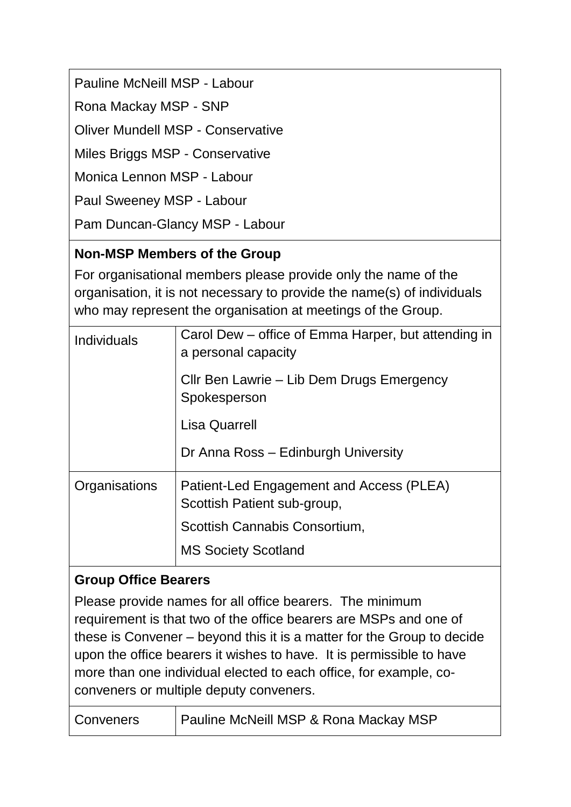Pauline McNeill MSP - Labour

Rona Mackay MSP - SNP

Oliver Mundell MSP - Conservative

Miles Briggs MSP - Conservative

Monica Lennon MSP - Labour

Paul Sweeney MSP - Labour

Pam Duncan-Glancy MSP - Labour

### **Non-MSP Members of the Group**

For organisational members please provide only the name of the organisation, it is not necessary to provide the name(s) of individuals who may represent the organisation at meetings of the Group.

| <b>Individuals</b> | Carol Dew – office of Emma Harper, but attending in<br>a personal capacity |
|--------------------|----------------------------------------------------------------------------|
|                    | Cllr Ben Lawrie – Lib Dem Drugs Emergency<br>Spokesperson                  |
|                    | <b>Lisa Quarrell</b>                                                       |
|                    | Dr Anna Ross - Edinburgh University                                        |
| Organisations      | Patient-Led Engagement and Access (PLEA)<br>Scottish Patient sub-group,    |
|                    | Scottish Cannabis Consortium,                                              |
|                    | <b>MS Society Scotland</b>                                                 |

#### **Group Office Bearers**

Please provide names for all office bearers. The minimum requirement is that two of the office bearers are MSPs and one of these is Convener – beyond this it is a matter for the Group to decide upon the office bearers it wishes to have. It is permissible to have more than one individual elected to each office, for example, coconveners or multiple deputy conveners.

| Conveners | <b>Pauline McNeill MSP &amp; Rona Mackay MSP</b> |
|-----------|--------------------------------------------------|
|-----------|--------------------------------------------------|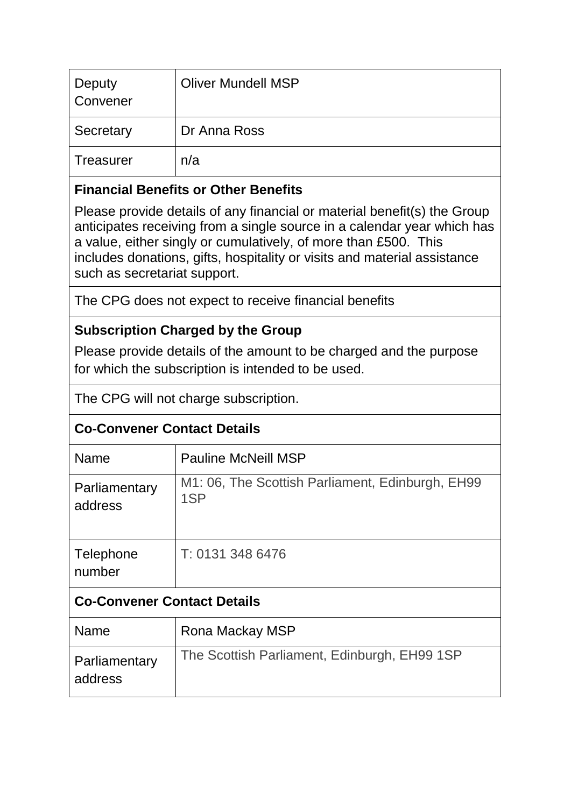| Deputy<br>Convener | <b>Oliver Mundell MSP</b> |
|--------------------|---------------------------|
| Secretary          | Dr Anna Ross              |
| <b>Treasurer</b>   | n/a                       |

### **Financial Benefits or Other Benefits**

Please provide details of any financial or material benefit(s) the Group anticipates receiving from a single source in a calendar year which has a value, either singly or cumulatively, of more than £500. This includes donations, gifts, hospitality or visits and material assistance such as secretariat support.

The CPG does not expect to receive financial benefits

## **Subscription Charged by the Group**

Please provide details of the amount to be charged and the purpose for which the subscription is intended to be used.

The CPG will not charge subscription.

## **Co-Convener Contact Details**

| <b>Name</b>                        | <b>Pauline McNeill MSP</b>                              |  |
|------------------------------------|---------------------------------------------------------|--|
| Parliamentary<br>address           | M1: 06, The Scottish Parliament, Edinburgh, EH99<br>1SP |  |
| Telephone<br>number                | T: 0131 348 6476                                        |  |
| <b>Co-Convener Contact Details</b> |                                                         |  |
| <b>Name</b>                        | Rona Mackay MSP                                         |  |
| Parliamentary<br>address           | The Scottish Parliament, Edinburgh, EH99 1SP            |  |